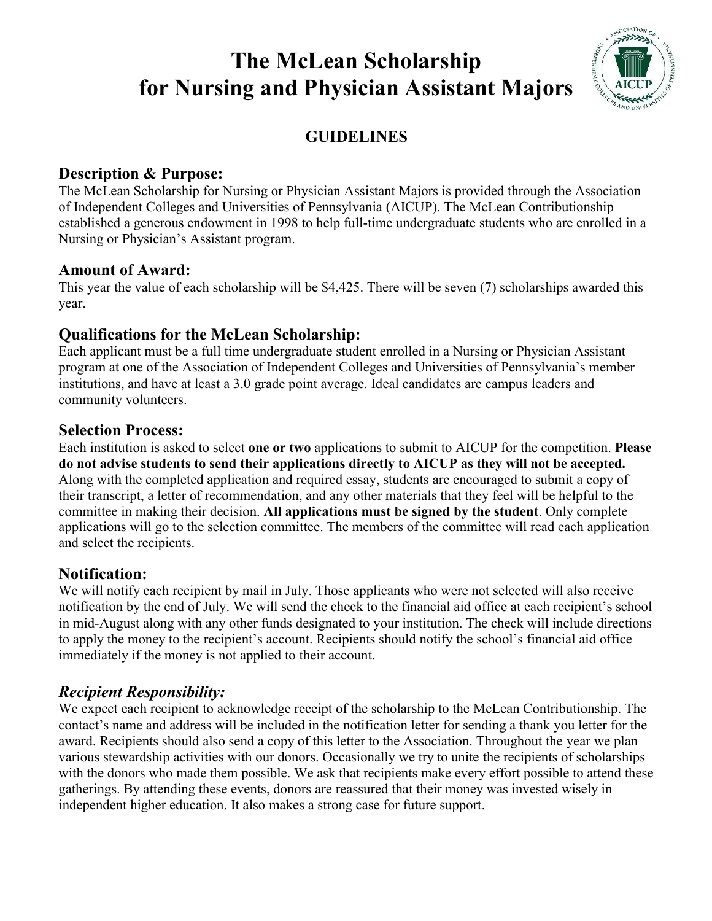# **The McLean Scholarship for Nursing and Physician Assistant Majors**



# **GUIDELINES**

#### **Description & Purpose:**

The McLean Scholarship for Nursing or Physician Assistant Majors is provided through the Association of Independent Colleges and Universities of Pennsylvania (AICUP). The McLean Contributionship established a generous endowment in 1998 to help full-time undergraduate students who are enrolled in a Nursing or Physician's Assistant program.

#### **Amount of Award:**

This year the value of each scholarship will be \$4,425. There will be seven (7) scholarships awarded this year.

## **Qualifications for the McLean Scholarship:**

Each applicant must be a full time undergraduate student enrolled in a Nursing or Physician Assistant program at one of the Association of Independent Colleges and Universities of Pennsylvania's member institutions, and have at least a 3.0 grade point average. Ideal candidates are campus leaders and community volunteers.

## **Selection Process:**

Each institution is asked to select **one or two** applications to submit to AICUP for the competition. **Please do not advise students to send their applications directly to AICUP as they will not be accepted.**  Along with the completed application and required essay, students are encouraged to submit a copy of their transcript, a letter of recommendation, and any other materials that they feel will be helpful to the committee in making their decision. **All applications must be signed by the student**. Only complete applications will go to the selection committee. The members of the committee will read each application and select the recipients.

# **Notification:**

We will notify each recipient by mail in July. Those applicants who were not selected will also receive notification by the end of July. We will send the check to the financial aid office at each recipient's school in mid-August along with any other funds designated to your institution. The check will include directions to apply the money to the recipient's account. Recipients should notify the school's financial aid office immediately if the money is not applied to their account.

# *Recipient Responsibility:*

We expect each recipient to acknowledge receipt of the scholarship to the McLean Contributionship. The contact's name and address will be included in the notification letter for sending a thank you letter for the award. Recipients should also send a copy of this letter to the Association. Throughout the year we plan various stewardship activities with our donors. Occasionally we try to unite the recipients of scholarships with the donors who made them possible. We ask that recipients make every effort possible to attend these gatherings. By attending these events, donors are reassured that their money was invested wisely in independent higher education. It also makes a strong case for future support.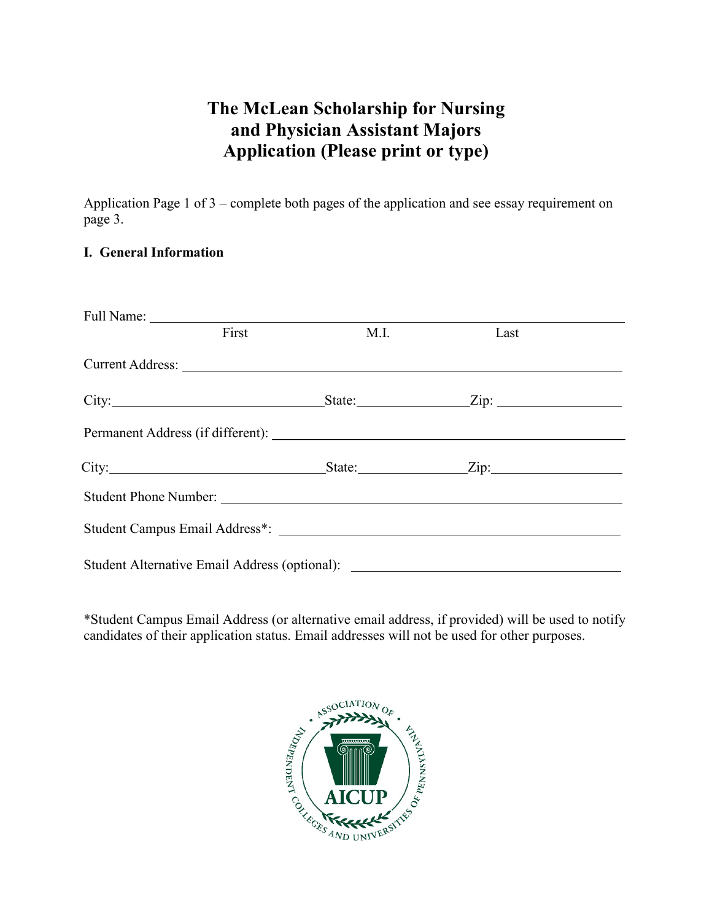# **The McLean Scholarship for Nursing and Physician Assistant Majors Application (Please print or type)**

Application Page 1 of 3 – complete both pages of the application and see essay requirement on page 3.

#### **I. General Information**

| First | M.I. | Last                                                                                                                                                                                                                           |  |
|-------|------|--------------------------------------------------------------------------------------------------------------------------------------------------------------------------------------------------------------------------------|--|
|       |      |                                                                                                                                                                                                                                |  |
|       |      |                                                                                                                                                                                                                                |  |
|       |      | Permanent Address (if different): Note and the set of the set of the set of the set of the set of the set of the set of the set of the set of the set of the set of the set of the set of the set of the set of the set of the |  |
|       |      | City: $\qquad \qquad \text{City:}$ $\qquad \qquad \text{City:}$                                                                                                                                                                |  |
|       |      |                                                                                                                                                                                                                                |  |
|       |      |                                                                                                                                                                                                                                |  |
|       |      | Student Alternative Email Address (optional): __________________________________                                                                                                                                               |  |

\*Student Campus Email Address (or alternative email address, if provided) will be used to notify candidates of their application status. Email addresses will not be used for other purposes.

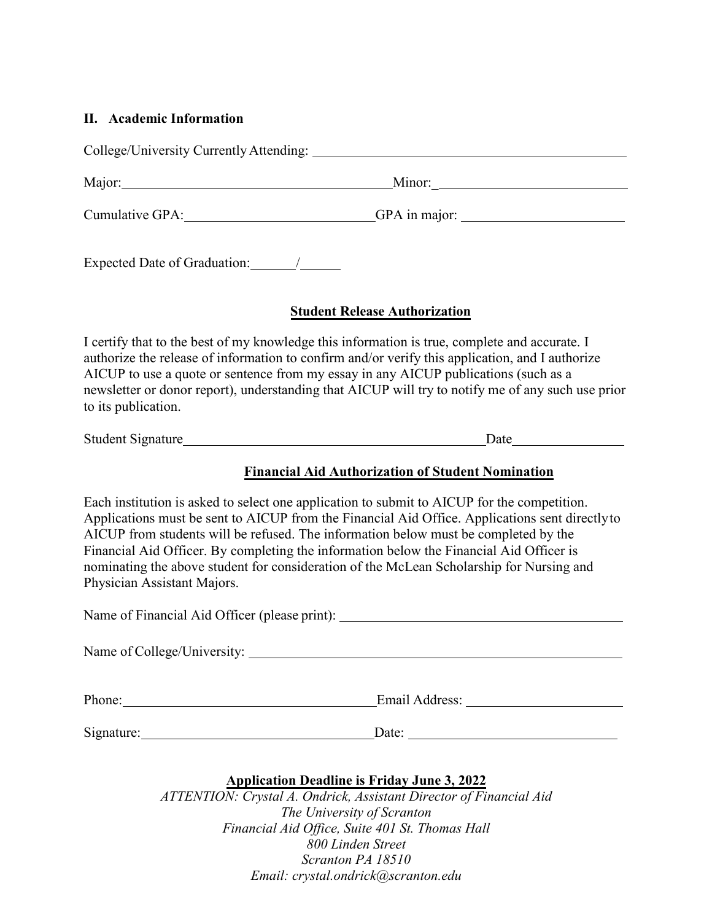## **II. Academic Information**

|                                                                                                                                                                                                                               | Cumulative GPA: GIVA: GIVA: GIVA: GIVA: GIVA: GIVA: GIVA: GIVA: GIVA: GIVA: GIVA: GIVA: GIVA: GIVA: GIVA: GIVA: GIVA: GIVA: GIVA: GIVA: GIVA: GIVA: GIVA: GIVA: GIVA: GIVA: GIVA: GIVA: GIVA: GIVA: GIVA: GIVA: GIVA: GIVA: GI                                                                                                                                                                                                                                               |
|-------------------------------------------------------------------------------------------------------------------------------------------------------------------------------------------------------------------------------|------------------------------------------------------------------------------------------------------------------------------------------------------------------------------------------------------------------------------------------------------------------------------------------------------------------------------------------------------------------------------------------------------------------------------------------------------------------------------|
| Expected Date of Graduation: /                                                                                                                                                                                                |                                                                                                                                                                                                                                                                                                                                                                                                                                                                              |
|                                                                                                                                                                                                                               | <b>Student Release Authorization</b>                                                                                                                                                                                                                                                                                                                                                                                                                                         |
| to its publication.                                                                                                                                                                                                           | I certify that to the best of my knowledge this information is true, complete and accurate. I<br>authorize the release of information to confirm and/or verify this application, and I authorize<br>AICUP to use a quote or sentence from my essay in any AICUP publications (such as a<br>newsletter or donor report), understanding that AICUP will try to notify me of any such use prior                                                                                 |
|                                                                                                                                                                                                                               |                                                                                                                                                                                                                                                                                                                                                                                                                                                                              |
|                                                                                                                                                                                                                               | <b>Financial Aid Authorization of Student Nomination</b>                                                                                                                                                                                                                                                                                                                                                                                                                     |
| Physician Assistant Majors.                                                                                                                                                                                                   | Each institution is asked to select one application to submit to AICUP for the competition.<br>Applications must be sent to AICUP from the Financial Aid Office. Applications sent directly to<br>AICUP from students will be refused. The information below must be completed by the<br>Financial Aid Officer. By completing the information below the Financial Aid Officer is<br>nominating the above student for consideration of the McLean Scholarship for Nursing and |
|                                                                                                                                                                                                                               | Name of Financial Aid Officer (please print): __________________________________                                                                                                                                                                                                                                                                                                                                                                                             |
| Name of College/University:                                                                                                                                                                                                   |                                                                                                                                                                                                                                                                                                                                                                                                                                                                              |
| Phone: Note and the set of the set of the set of the set of the set of the set of the set of the set of the set of the set of the set of the set of the set of the set of the set of the set of the set of the set of the set |                                                                                                                                                                                                                                                                                                                                                                                                                                                                              |
|                                                                                                                                                                                                                               | $\frac{\text{Date:}}{\text{Date:}}$                                                                                                                                                                                                                                                                                                                                                                                                                                          |
|                                                                                                                                                                                                                               | <b>Application Deadline is Friday June 3, 2022</b><br>ATTENTION: Crystal A. Ondrick, Assistant Director of Financial Aid<br>The University of Scranton                                                                                                                                                                                                                                                                                                                       |

*Financial Aid Office, Suite 401 St. Thomas Hall 800 Linden Street Scranton PA 18510 Email: crystal.ondrick@scranton.edu*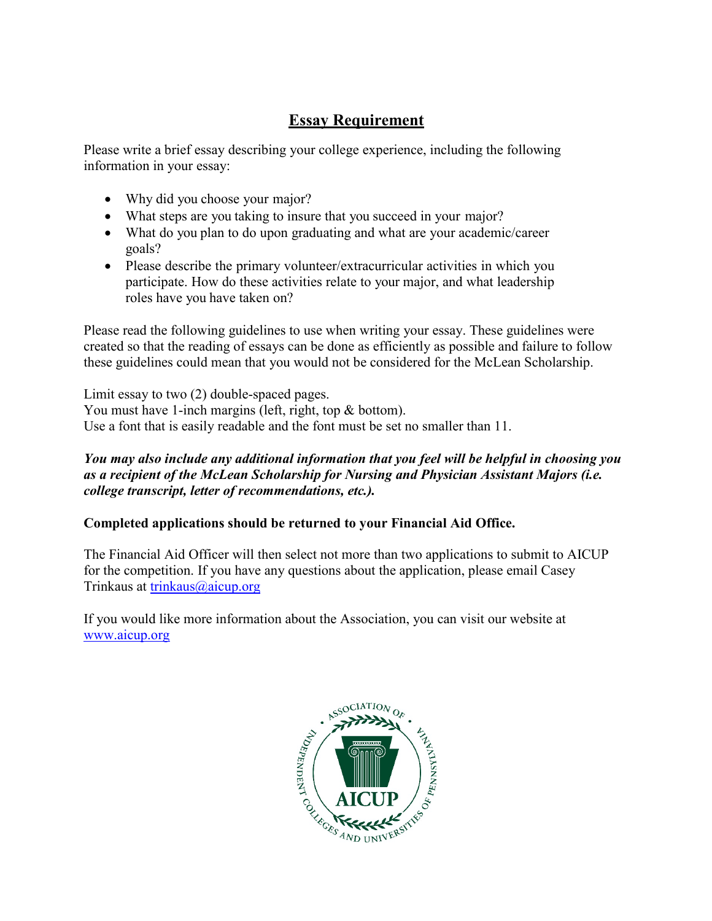# **Essay Requirement**

Please write a brief essay describing your college experience, including the following information in your essay:

- Why did you choose your major?
- What steps are you taking to insure that you succeed in your major?
- What do you plan to do upon graduating and what are your academic/career goals?
- Please describe the primary volunteer/extracurricular activities in which you participate. How do these activities relate to your major, and what leadership roles have you have taken on?

Please read the following guidelines to use when writing your essay. These guidelines were created so that the reading of essays can be done as efficiently as possible and failure to follow these guidelines could mean that you would not be considered for the McLean Scholarship.

Limit essay to two (2) double-spaced pages. You must have 1-inch margins (left, right, top & bottom). Use a font that is easily readable and the font must be set no smaller than 11.

#### *You may also include any additional information that you feel will be helpful in choosing you as a recipient of the McLean Scholarship for Nursing and Physician Assistant Majors (i.e. college transcript, letter of recommendations, etc.).*

#### **Completed applications should be returned to your Financial Aid Office.**

The Financial Aid Officer will then select not more than two applications to submit to AICUP for the competition. If you have any questions about the application, please email Casey Trinkaus at [trinkaus@aicup.org](mailto:trinkaus@aicup.org)

If you would like more information about the Association, you can visit our website at [www.aicup.org](http://www.aicup.org/)

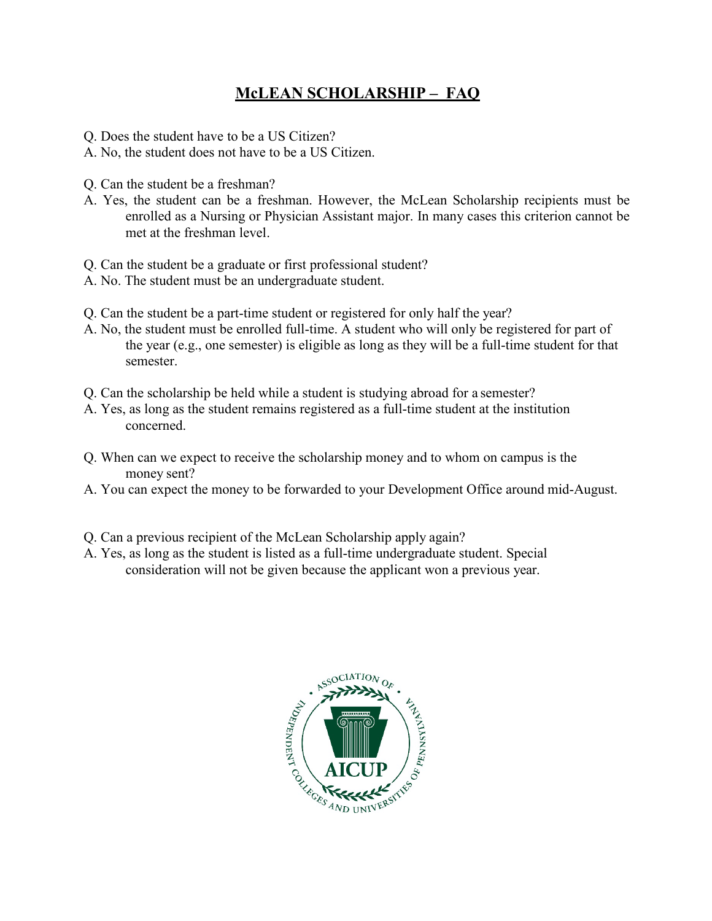# **McLEAN SCHOLARSHIP – FAQ**

- Q. Does the student have to be a US Citizen?
- A. No, the student does not have to be a US Citizen.
- Q. Can the student be a freshman?
- A. Yes, the student can be a freshman. However, the McLean Scholarship recipients must be enrolled as a Nursing or Physician Assistant major. In many cases this criterion cannot be met at the freshman level.
- Q. Can the student be a graduate or first professional student?
- A. No. The student must be an undergraduate student.
- Q. Can the student be a part-time student or registered for only half the year?
- A. No, the student must be enrolled full-time. A student who will only be registered for part of the year (e.g., one semester) is eligible as long as they will be a full-time student for that semester.
- Q. Can the scholarship be held while a student is studying abroad for a semester?
- A. Yes, as long as the student remains registered as a full-time student at the institution concerned.
- Q. When can we expect to receive the scholarship money and to whom on campus is the money sent?
- A. You can expect the money to be forwarded to your Development Office around mid-August.
- Q. Can a previous recipient of the McLean Scholarship apply again?
- A. Yes, as long as the student is listed as a full-time undergraduate student. Special consideration will not be given because the applicant won a previous year.